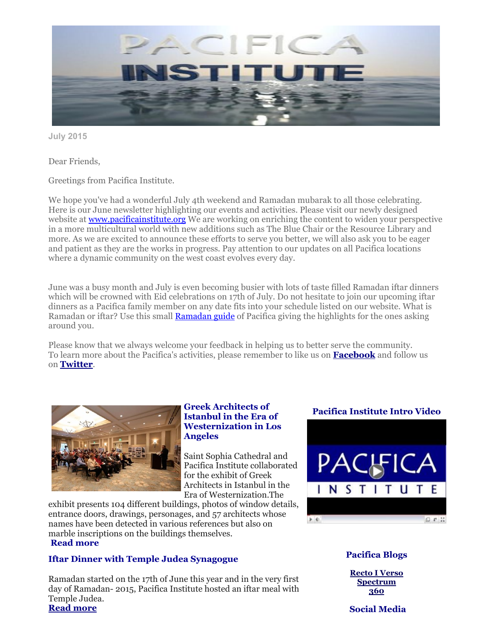

**July 2015**

Dear Friends,

Greetings from Pacifica Institute.

We hope you've had a wonderful July 4th weekend and Ramadan mubarak to all those celebrating. Here is our June newsletter highlighting our events and activities. Please visit our newly designed website at www.pacificainstitute.org We are working on enriching the content to widen your perspective in a more multicultural world with new additions such as The Blue Chair or the Resource Library and more. As we are excited to announce these efforts to serve you better, we will also ask you to be eager and patient as they are the [works](http://www.pacificainstitute.org/) in progress. Pay attention to our updates on all Pacifica locations where a dynamic community on the west coast evolves every day.

June was a busy month and July is even becoming busier with lots of taste filled Ramadan iftar dinners which will be crowned with Eid celebrations on 17th of July. Do not hesitate to join our upcoming iftar dinners as a Pacifica family member on any date fits into your schedule listed on our website. What is Ramadan or iftar? Use this small Ramadan guide of Pacifica giving the highlights for the ones asking around you.

Please know that we always welcome your [feedba](http://pacificainstitute.org/wp-content/uploads/2015/05/Ramadan.pdf)ck in helping us to better serve the community. To learn more about the Pacifica's activities, please remember to like us on **Facebook** and follow us on **Twitter**.



**Greek Architects of Istanbul in the Era of Westernization in Los Angeles**

Saint Sophia [Cathedral](http://pacificainstitute.org/2015/06/18/greek-architects-of-istanbul-in-the-era-of-westernization-in-los-angeles/) and Pacifica Institute collaborated for the exhibit of Greek Architects in Istanbul in the Era of Westernization.The

exhibit presents 104 different buildings, photos of window details, entrance doors, drawings, personages, and 57 architects whose names have been detected in various references but also on marble inscriptions on the buildings themselves. **Read more**

### **Iftar Dinner with Temple Judea Synagogue**

Ramadan started on the 17th of June this year and in the very first day of [Ramadan-](http://pacificainstitute.org/2015/06/20/iftar-dinner-with-temple-judea-synagogue/) 2015, Pacifica Institute hosted an iftar meal with Temple Judea. **Read more**

### **Pacifica Institute Intro Video**



### **[Pacifica](https://www.youtube.com/watch?v=FxAaKsrBe7o) Blogs**

**Recto I Verso Spectrum [360](http://pacifica-intellect.blogspot.com/)**

**S[ocial](http://pacifica-interfaith.blogspot.com/) Media**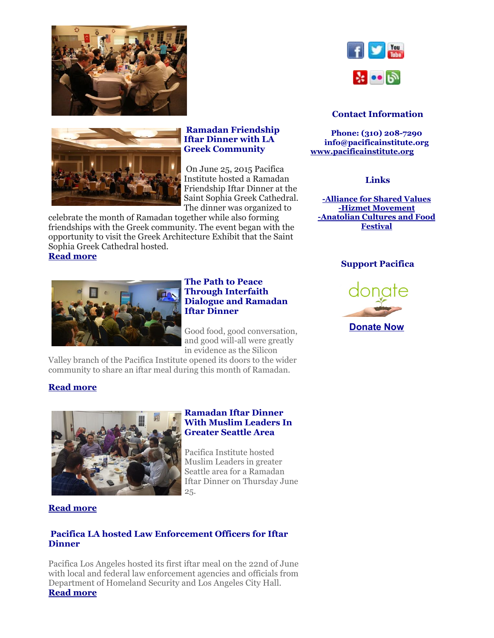



### **Ramadan Friendship Iftar Dinner with LA Greek Community**

On June 25, 2015 [Pacifica](http://pacificainstitute.org/2015/06/28/ramadan-friendship-iftar-dinner-with-la-greek-community/) Institute hosted a Ramadan Friendship Iftar Dinner at the Saint Sophia Greek Cathedral. The dinner was organized to

celebrate the month of Ramadan together while also forming friendships with the Greek community. The event began with the opportunity to visit the Greek Architecture Exhibit that the Saint Sophia Greek Cathedral hosted.

#### **Read more**



#### **The Path to Peace Through Interfaith Dialogue and Ramadan Iftar Dinner**

Good food, good [conversatio](http://pacificasv.org/talks/conversations/2015/06/24/the-path-to-peace-through-interfaith-dialogue/)n, and good will-all were greatly in evidence as the Silicon

Valley branch of the Pacifica Institute opened its doors to the wider community to share an iftar meal during this month of Ramadan.

### **Read more**



#### **Ramadan Iftar Dinner With Muslim Leaders In Greater Seattle Area**

Pacifica [Institute](http://pacificainstitute.org/seattle/2015/06/26/ramadan-iftar-dinner-with-muslim-leaders-in-greater-seattle-area/) hosted Muslim Leaders in greater Seattle area for a Ramadan Iftar Dinner on Thursday June 25.

#### **Read more**

### **[Pacifica](http://pacificainstitute.org/seattle/2015/06/26/ramadan-iftar-dinner-with-muslim-leaders-in-greater-seattle-area/) LA hosted Law Enforcement Officers for Iftar Dinner**

Pacifica Los [Angeles](http://pacificainstitute.org/2015/06/29/pacifica-la-hosted-law-enforcement-officers-for-iftar-dinner/) hosted its first iftar meal on the 22nd of June with local and federal law enforcement agencies and officials from Department of Homeland Security and Los Angeles City Hall. **Read more**



## **Con[tact](http://www.yelp.com/biz/pacifica-institute-los-angeles-los-angeles?nb=1) [Info](http://www.flickr.com/photos/111878054@N05/)[rma](http://www.pacifica-institute.blogspot.com/)tion**

**Phone: (310) 208-7290 info@pacificainstitute.org www.pacificainstitute.org**

**[Links](http://www.pacificainstitute.org/)**

**-Alliance for Shared Values -Hizmet Movement -Anatolian Cultures and Food [Festival](http://www.afsv.org/)**

## **Support Pacifica**



**Donate Now**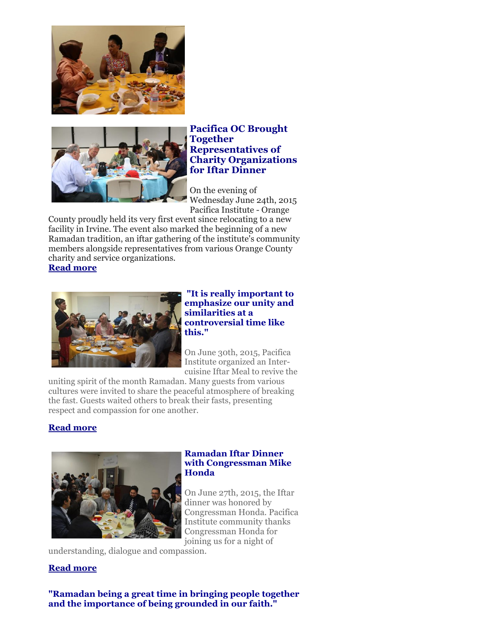



### **Pacifica OC Brought Together Representatives of Charity [Organizations](http://pacificainstitute.org/2015/06/30/iftar-dinner-with-representatives-of-oc-charity-and-service-organizations/) for Iftar Dinner**

On the evening of Wednesday June 24th, 2015 Pacifica Institute - Orange

County proudly held its very first event since relocating to a new facility in Irvine. The event also marked the beginning of a new Ramadan tradition, an iftar gathering of the institute's community members alongside representatives from various Orange County charity and service organizations. **Read more**





**"It is really important to emphasize our unity and similarities at a [controversial](http://pacificainstitute.org/2015/07/01/it-is-really-important-to-emphasize-our-unity-and-similarities-at-a-controversial-time-like-this/) time like this."**

On June 30th, 2015, Pacifica Institute organized an Intercuisine Iftar Meal to revive the

uniting spirit of the month Ramadan. Many guests from various cultures were invited to share the peaceful atmosphere of breaking the fast. Guests waited others to break their fasts, presenting respect and compassion for one another.

# **Read more**



### **Ramadan Iftar Dinner with Congressman Mike Honda**

On June 27th, [2015,](http://pacificasv.org/norcal/silicon-valley-branch/2015/07/03/ramadan-iftar-dinner-w-congressman-mike-honda-june-27/) the Iftar dinner was honored by Congressman Honda. Pacifica Institute community thanks Congressman Honda for joining us for a night of

understanding, dialogue and compassion.

### **Read more**

**["Ramadan](http://pacificasv.org/norcal/silicon-valley-branch/2015/07/03/ramadan-iftar-dinner-w-congressman-mike-honda-june-27/) being a great time in bringing people together and the importance of being grounded in our faith."**